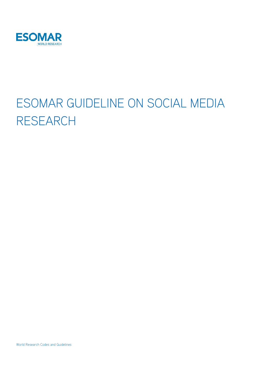

# ESOMAR GUIDELINE ON SOCIAL MEDIA RESEARCH

World Research Codes and Guidelines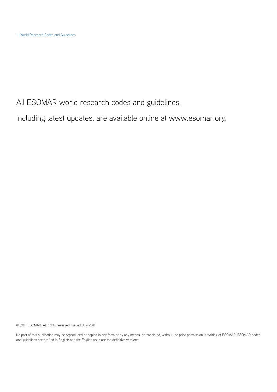All ESOMAR world research codes and guidelines,

including latest updates, are available online at www.esomar.org

© 2011 ESOMAR. All rights reserved. Issued July 2011

No part of this publication may be reproduced or copied in any form or by any means, or translated, without the prior permission in writing of ESOMAR. ESOMAR codes and guidelines are drafted in English and the English texts are the definitive versions.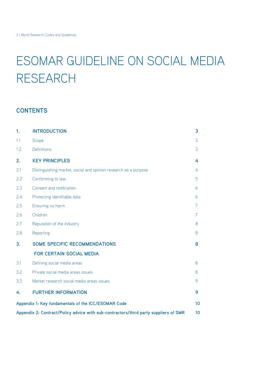## ESOMAR GUIDELINE ON SOCIAL MEDIA RESEARCH

## **CONTENTS**

| $\mathbf{1}$                                                                         | <b>INTRODUCTION</b>                                             | 3              |
|--------------------------------------------------------------------------------------|-----------------------------------------------------------------|----------------|
| 1.1                                                                                  | Scope                                                           | 3              |
| 1.2                                                                                  | <b>Definitions</b>                                              | 3              |
| 2.                                                                                   | <b>KEY PRINCIPLES</b>                                           | 4              |
| 2.1                                                                                  | Distinguishing market, social and opinion research as a purpose | 4              |
| 2.2                                                                                  | Conforming to law                                               | 5              |
| 2.3                                                                                  | Consent and notification                                        | 6              |
| 2.4                                                                                  | Protecting identifiable data                                    | 6              |
| 2.5                                                                                  | Ensuring no harm                                                | $\overline{7}$ |
| 2.6                                                                                  | Children                                                        | $\overline{7}$ |
| 2.7                                                                                  | Reputation of the industry                                      | 8              |
| 2.8                                                                                  | Reporting                                                       | 8              |
| 3.                                                                                   | <b>SOME SPECIFIC RECOMMENDATIONS</b>                            | 8              |
|                                                                                      | <b>FOR CERTAIN SOCIAL MEDIA</b>                                 |                |
| 3.1                                                                                  | Defining social media areas                                     | 8              |
| 3.2                                                                                  | Private social media areas issues                               | 8              |
| 3.3                                                                                  | Market research social media areas issues                       | 9              |
| 4.                                                                                   | <b>FURTHER INFORMATION</b>                                      | 9              |
| Appendix 1: Key fundamentals of the ICC/ESOMAR Code                                  |                                                                 | 10             |
| Appendix 2: Contract/Policy advice with sub-contractors/third party suppliers of SMR |                                                                 | 10             |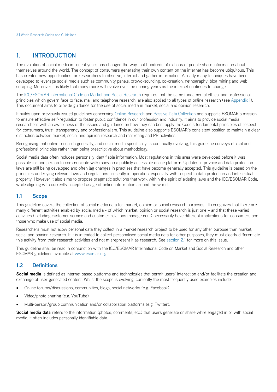## **1. INTRODUCTION**

The evolution of social media in recent years has changed the way that hundreds of millions of people share information about themselves around the world. The concept of consumers generating their own content on the internet has become ubiquitous. This has created new opportunities for researchers to observe, interact and gather information. Already many techniques have been developed to leverage social media such as community panels, crowd-sourcing, co-creation, netnography, blog mining and web scraping. Moreover it is likely that many more will evolve over the coming years as the internet continues to change.

The ICC/ESOMAR International Code on Market and Social Research requires that the same fundamental ethical and professional principles which govern face to face, mail and telephone research, are also applied to all types of online research (see Appendix 1). This document aims to provide guidance for the use of social media in market, social and opinion research.

It builds upon previously issued guidelines concerning Online Research and Passive Data Collection and supports ESOMAR's mission to ensure effective self-regulation to foster public confidence in our profession and industry. It aims to provide social media researchers with an awareness of the issues and guidance on how they can best apply the Code's fundamental principles of respect for consumers, trust, transparency and professionalism. This guideline also supports ESOMAR's consistent position to maintain a clear distinction between market, social and opinion research and marketing and PR activities.

Recognising that online research generally, and social media specifically, is continually evolving, this guideline conveys ethical and professional principles rather than being prescriptive about methodology.

Social media data often includes personally identifiable information. Most regulations in this area were developed before it was possible for one person to communicate with many on a publicly accessible online platform. Updates in privacy and data protection laws are still being developed and often lag changes in practises that have become generally accepted. This guideline is based on the principles underlying relevant laws and regulations presently in operation, especially with respect to data protection and intellectual property. However it also aims to propose pragmatic solutions that work within the spirit of existing laws and the ICC/ESOMAR Code, while aligning with currently accepted usage of online information around the world.

#### **1.1 Scope**

This guideline covers the collection of social media data for market, opinion or social research purposes. It recognizes that there are many different activities enabled by social media - of which market, opinion or social research is just one – and that these varied activities (including customer service and customer relations management) necessarily have different implications for consumers and those who make use of social media.

Researchers must not allow personal data they collect in a market research project to be used for any other purpose than market, social and opinion research. If it is intended to collect personalised social media data for other purposes, they must clearly differentiate this activity from their research activities and not misrepresent it as research. See section 2.1 for more on this issue.

This guideline shall be read in conjunction with the ICC/ESOMAR International Code on Market and Social Research and other ESOMAR guidelines available at www.esomar.org.

#### **1.2 Definitions**

Social media is defined as internet based platforms and technologies that permit users' interaction and/or facilitate the creation and exchange of user generated content. Whilst the scope is evolving, currently the most frequently used examples include:

- Online forums/discussions, communities, blogs, social networks (e.g. Facebook)
- Video/photo sharing (e.g. YouTube)
- Multi-person/group communication and/or collaboration platforms (e.g. Twitter).

**Social media data** refers to the information (photos, comments, etc.) that users generate or share while engaged in or with social media. It often includes personally identifiable data.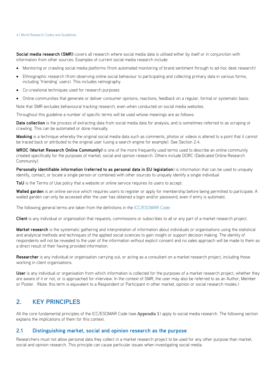**Social media research (SMR)** covers all research where social media data is utilised either by itself or in conjunction with information from other sources. Examples of current social media research include:

- Monitoring or crawling social media platforms (from automated monitoring of brand sentiment through to ad-hoc desk research)
- Ethnographic research (from observing online social behaviour to participating and collecting primary data in various forms, including 'friending' users). This includes netnography
- Co-creational techniques used for research purposes
- Online communities that generate or deliver consumer opinions, reactions, feedback on a regular, formal or systematic basis.

Note that SMR excludes behavioural tracking research, even when conducted on social media websites.

Throughout this guideline a number of specific terms will be used whose meanings are as follows:

**Data collection** is the process of extracting data from social media data for analysis, and is sometimes referred to as scraping or crawling. This can be automated or done manually.

**Masking** is a technique whereby the original social media data such as comments, photos or videos is altered to a point that it cannot be traced back or attributed to the original user (using a search engine for example). See Section 2.4.

**MROC (Market Research Online Community)** is one of the more frequently used terms used to describe an online community created specifically for the purposes of market, social and opinion research. Others include DORC (Dedicated Online Research Community).

**Personally identifiable information (referred to as personal data in EU legislation**) is information that can be used to uniquely identify, contact, or locate a single person or combined with other sources to uniquely identify a single individual

ToU is the Terms of Use policy that a website or online service requires its users to accept.

**Walled garden** is an online service which requires users to register or apply for membership before being permitted to participate. A walled garden can only be accessed after the user has obtained a login and/or password, even if entry is automatic.

The following general terms are taken from the definitions in the ICC/ESOMAR Code:

**Client** is any individual or organisation that requests, commissions or subscribes to all or any part of a market research project.

**Market research** is the systematic gathering and interpretation of information about individuals or organisations using the statistical and analytical methods and techniques of the applied social sciences to gain insight or support decision making. The identity of respondents will not be revealed to the user of the information without explicit consent and no sales approach will be made to them as a direct result of their having provided information.

**Researcher** is any individual or organisation carrying out, or acting as a consultant on a market research project, including those working in client organisations.

**User** is any individual or organisation from which information is collected for the purposes of a market research project, whether they are aware of it or not, or is approached for interview. In the context of SMR, the user may also be referred to as an Author, Member or Poster. (Note: this term is equivalent to a Respondent or Participant in other market, opinion or social research modes.)

### **2. KEY PRINCIPLES**

All the core fundamental principles of the ICC/ESOMAR Code (see Appendix 1) apply to social media research. The following section explains the implications of them for this context.

#### **2.1 Distinguishing market, social and opinion research as the purpose**

Researchers must not allow personal data they collect in a market research project to be used for any other purpose than market, social and opinion research. This principle can cause particular issues when investigating social media.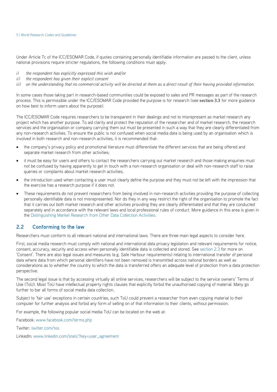Under Article 7c of the ICC/ESOMAR Code, if quotes containing personally identifiable information are passed to the client, unless national provisions require stricter regulations, the following conditions must apply:

- *i) the respondent has explicitly expressed this wish and/or*
- *ii) the respondent has given their explicit consent*
- *iii)* on the understanding that no commercial activity will be directed at them as a direct result of their having provided information.

In some cases those taking part in research-based communities could be exposed to sales and PR messages as part of the research process. This is permissible under the ICC/ESOMAR Code provided the purpose is for research (see section 3.3 for more guidance on how best to inform users about the purpose).

The ICC/ESOMAR Code requires researchers to be transparent in their dealings and not to misrepresent as market research any project which has another purpose. To aid clarity and protect the reputation of the researcher and of market research, the research services and the organisation or company carrying them out must be presented in such a way that they are clearly differentiated from any non-research activities. To ensure the public is not confused when social media data is being used by an organisation which is involved in both research and non-research activities, it is recommended that:

- the company's privacy policy and promotional literature must differentiate the different services that are being offered and separate market research from other activities;
- it must be easy for users and others to contact the researchers carrying out market research and those making enquiries must not be confused by having apparently to get in touch with a non-research organisation or deal with non-research staff to raise queries or complaints about market research activities;
- the introduction used when contacting a user must clearly define the purpose and they must not be left with the impression that the exercise has a research purpose if it does not.
- These requirements do not prevent researchers from being involved in non-research activities providing the purpose of collecting personally identifiable data is not misrepresented. Nor do they in any way restrict the right of the organisation to promote the fact that it carries out both market research and other activities providing they are clearly differentiated and that they are conducted separately and in accordance with the relevant laws and local professional rules of conduct. More guidance in this area is given in the Distinguishing Market Research from Other Data Collection Activities.

#### **2.2 Conforming to the law**

Researchers must conform to all relevant national and international laws. There are three main legal aspects to consider here.

First, social media research must comply with national and international data privacy legislation and relevant requirements for notice, consent, accuracy, security and access when personally identifiable data is collected and stored. See section 2.3 for more on 'Consent'. There are also legal issues and measures (e.g. Safe Harbour requirements) relating to international transfer of personal data where data from which personal identifiers have not been removed is transmitted across national borders as well as considerations as to whether the country to which the data is transferred offers an adequate level of protection from a data protection perspective.

The second legal issue is that by accessing virtually all online services, researchers will be subject to the service owners' Terms of Use (ToU). Most ToU have intellectual property rights clauses that explicitly forbid the unauthorised copying of material. Many go further to bar all forms of social media data collection.

Subject to 'fair use' exceptions in certain countries, such ToU could prevent a researcher from even copying material to their computer for further analysis and forbid any form of selling on of that information to their clients, without permission.

For example, the following popular social media ToU can be located on the web at:

Facebook: www.facebook.com/terms.php

Twitter: twitter.com/tos

LinkedIn: www.linkedin.com/static?key=user\_agreement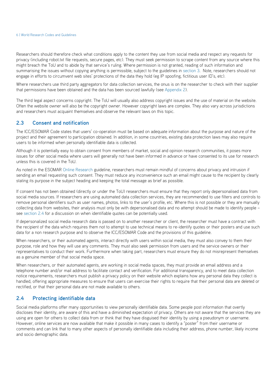Researchers should therefore check what conditions apply to the content they use from social media and respect any requests for privacy (including robot.txt file requests, secure pages, etc). They must seek permission to scrape content from any source where this might breach the ToU and to abide by that service's ruling. Where permission is not granted, reading of such information and summarising the issues without copying anything is permissible, subject to the guidelines in section 3. Note, researchers should not engage in efforts to circumvent web sites' protections of the data they hold (eg IP spoofing, fictitious user ID's, etc).

Where researchers use third party aggregators for data collection services, the onus is on the researcher to check with their supplier that permissions have been obtained and the data has been sourced lawfully (see Appendix 2).

The third legal aspect concerns copyright. The ToU will usually also address copyright issues and the use of material on the website. Often the website owner will also be the copyright owner. However copyright laws are complex. They also vary across jurisdictions and researchers must acquaint themselves and observe the relevant laws on this topic.

#### **2.3 Consent and notification**

The ICC/ESOMAR Code states that users' co-operation must be based on adequate information about the purpose and nature of the project and their agreement to participation obtained. In addition, in some countries, existing data protection laws may also require users to be informed when personally identifiable data is collected.

Although it is potentially easy to obtain consent from members of market, social and opinion research communities, it poses more issues for other social media where users will generally not have been informed in advance or have consented to its use for research unless this is covered in the ToU.

As noted in the ESOMAR Online Research guideline, researchers must remain mindful of concerns about privacy and intrusion if sending an email requesting such consent. They must reduce any inconvenience such an email might cause to the recipient by clearly stating its purpose in the subject heading and keeping the total message as brief as possible.

If consent has not been obtained (directly or under the ToU) researchers must ensure that they report only depersonalised data from social media sources. If researchers are using automated data collection services, they are recommended to use filters and controls to remove personal identifiers such as user names, photos, links to the user's profile, etc. Where this is not possible or they are manually collecting data from websites, their analysis must only be with depersonalised data and no attempt should be made to identify people – see section 2.4 for a discussion on when identifiable quotes can be potentially used.

If depersonalized social media research data is passed on to another researcher or client, the researcher must have a contract with the recipient of the data which requires them not to attempt to use technical means to re-identify quotes or their posters and use such data for a non research purpose and to observe the ICC/ESOMAR Code and the provisions of this guideline.

When researchers, or their automated agents, interact directly with users within social media, they must also convey to them their purpose, role and how they will use any comments. They must also seek permission from users and the service owners or their representatives to conduct their work. Furthermore when taking part, researchers must ensure they do not misrepresent themselves as a genuine member of that social media space.

When researchers, or their automated agents, are working in social media spaces, they must provide an email address and a telephone number and/or mail address to facilitate contact and verification. For additional transparency, and to meet data collection notice requirements, researchers must publish a privacy policy on their website which explains how any personal data they collect is handled, offering appropriate measures to ensure that users can exercise their rights to require that their personal data are deleted or rectified, or that their personal data are not made available to others.

#### **2.4 Protecting identifiable data**

Social media platforms offer many opportunities to view personally identifiable data. Some people post information that overtly discloses their identity, are aware of this and have a diminished expectation of privacy. Others are not aware that the services they are using are open for others to collect data from or think that they have disguised their identity by using a pseudonym or username. However, online services are now available that make it possible in many cases to identify a "poster" from their username or comments and can link that to many other aspects of personally identifiable data including their address, phone number, likely income and socio demographic data.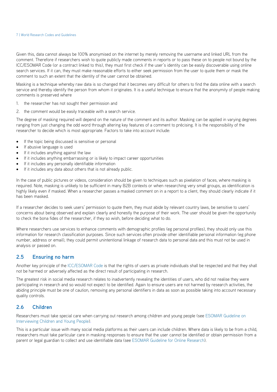Given this, data cannot always be 100% anonymised on the internet by merely removing the username and linked URL from the comment. Therefore if researchers wish to quote publicly made comments in reports or to pass these on to people not bound by the ICC/ESOMAR Code (or a contract linked to this), they must first check if the user's identity can be easily discoverable using online search services. If it can, they must make reasonable efforts to either seek permission from the user to quote them or mask the comment to such an extent that the identity of the user cannot be obtained.

Masking is a technique whereby raw data is so changed that it becomes very difficult for others to find the data online with a search service and thereby identify the person from whom it originates. It is a useful technique to ensure that the anonymity of people making comments is preserved where

- 1. the researcher has not sought their permission and
- 2. the comment would be easily traceable with a search service.

The degree of masking required will depend on the nature of the comment and its author. Masking can be applied in varying degrees ranging from just changing the odd word through altering key features of a comment to précising. It is the responsibility of the researcher to decide which is most appropriate. Factors to take into account include:

- If the topic being discussed is sensitive or personal
- If abusive language is used
- If it includes anything against the law
- If it includes anything embarrassing or is likely to impact career opportunities
- If it includes any personally identifiable information
- If it includes any data about others that is not already public.

In the case of public pictures or videos, consideration should be given to techniques such as pixelation of faces, where masking is required. Note, masking is unlikely to be sufficient in many B2B contexts or when researching very small groups, as identification is highly likely even if masked. When a researcher passes a masked comment on in a report to a client, they should clearly indicate if it has been masked.

If a researcher decides to seek users' permission to quote them, they must abide by relevant country laws, be sensitive to users' concerns about being observed and explain clearly and honestly the purpose of their work. The user should be given the opportunity to check the bona fides of the researcher, if they so wish, before deciding what to do.

Where researchers use services to enhance comments with demographic profiles (eg personal profiles), they should only use this information for research classification purposes. Since such services often provide other identifiable personal information (eg phone number, address or email), they could permit unintentional linkage of research data to personal data and this must not be used in analysis or passed on.

#### **2.5 Ensuring no harm**

Another key principle of the ICC/ESOMAR Code is that the rights of users as private individuals shall be respected and that they shall not be harmed or adversely affected as the direct result of participating in research.

The greatest risk in social media research relates to inadvertently revealing the identities of users, who did not realise they were participating in research and so would not expect to be identified. Again to ensure users are not harmed by research activities, the abiding principle must be one of caution, removing any personal identifiers in data as soon as possible taking into account necessary quality controls.

#### **2.6 Children**

Researchers must take special care when carrying out research among children and young people (see ESOMAR Guideline on Interviewing Children and Young People).

This is a particular issue with many social media platforms as their users can include children. Where data is likely to be from a child, researchers must take particular care in masking responses to ensure that the user cannot be identified or obtain permission from a parent or legal guardian to collect and use identifiable data (see ESOMAR Guideline for Online Research).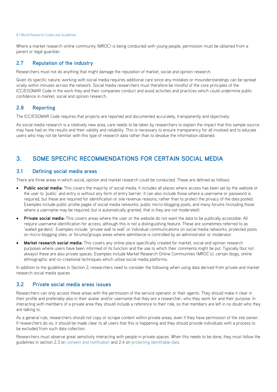Where a market research online community (MROC) is being conducted with young people, permission must be obtained from a parent or legal guardian.

#### **2.7 Reputation of the industry**

Researchers must not do anything that might damage the reputation of market, social and opinion research.

Given its specific nature, working with social media requires additional care since any mistakes or misunderstandings can be spread virally within minutes across the network. Social media researchers must therefore be mindful of the core principles of the ICC/ESOMAR Code in the work they and their companies conduct and avoid activities and practices which could undermine public confidence in market, social and opinion research.

#### **2.8 Reporting**

The ICC/ESOMAR Code requires that projects are reported and documented accurately, transparently and objectively.

As social media research is a relatively new area, care needs to be taken by researchers to explain the impact that this sample source may have had on the results and their validity and reliability. This is necessary to ensure transparency for all involved and to educate users who may not be familiar with this type of research data rather than to devalue the information obtained.

## **3. SOME SPECIFIC RECOMMENDATIONS FOR CERTAIN SOCIAL MEDIA**

#### **3.1 Defining social media areas**

There are three areas in which social, opinion and market research could be conducted. These are defined as follows:

- **Public social media:** This covers the majority of social media. It includes all places where access has been set by the website or the user to 'public' and entry is without any form of entry barrier. It can also include those where a username or password is required, but these are required for identification or site revenue reasons, rather than to protect the privacy of the data posted. Examples include public profile pages of social media networks; public micro-blogging posts; and many forums (including those where a username may be required, but is automatically granted, that is they are not moderated).
- **Private social media:** This covers areas where the user or the website do not want the data to be publically accessible. All require username identification for access, although this is not a distinguishing feature. These are sometimes referred to as 'walled gardens'. Examples include: 'private wall to wall' or individual communications on social media networks; protected posts on micro-blogging sites; or forums/groups areas where admittance is controlled by an administrator or moderator.
- **Market research social media:** This covers any online place specifically created for market, social and opinion research purposes where users have been informed of its function and the use to which their comments might be put. Typically (but not always) these are also private spaces. Examples include Market Research Online Communities (MROC's), certain blogs, online ethnographic and co-creational techniques which utilise social media platforms.

In addition to the guidelines in Section 2, researchers need to consider the following when using data derived from private and market research social media spaces.

#### **3.2 Private social media areas issues**

Researchers can only access these areas with the permission of the service operator or their agents. They should make it clear in their profile and preferably also in their avatar and/or username that they are a researcher, who they work for and their purpose. In interacting with members of a private area they should include a reference to their role, so that members are left in no doubt who they are talking to.

As a general rule, researchers should not copy or scrape content within private areas, even if they have permission of the site owner. If researchers do so, it should be made clear to all users that this is happening and they should provide individuals with a process to be excluded from such data collection.

Researchers must observe great sensitivity interacting with people in private spaces. When this needs to be done, they must follow the guidelines in section 2.3 on consent and notification and 2.4 on protecting identifiable data.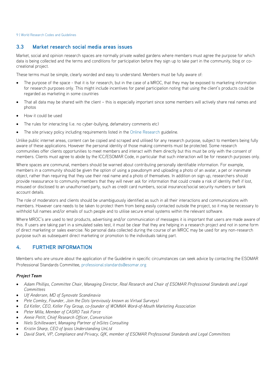#### **3.3 Market research social media areas issues**

Market, social and opinion research spaces are normally private walled gardens where members must agree the purpose for which data is being collected and the terms and conditions for participation before they sign up to take part in the community, blog or cocreational project.

These terms must be simple, clearly worded and easy to understand. Members must be fully aware of:

- The purpose of the space that it is for research, but in the case of a MROC, that they may be exposed to marketing information for research purposes only. This might include incentives for panel participation noting that using the client's products could be regarded as marketing in some countries
- That all data may be shared with the client this is especially important since some members will actively share real names and photos
- How it could be used
- The rules for interacting (i.e. no cyber-bullying, defamatory comments etc)
- The site privacy policy including requirements listed in the Online Research guideline.

Unlike public internet areas, content can be copied and scraped and utilised for any research purpose, subject to members being fully aware of these applications. However the personal identity of those making comments must be protected. Some research communities offer clients opportunities to meet members and interact with them directly but this must be only with the consent of members. Clients must agree to abide by the ICC/ESOMAR Code, in particular that such interaction will be for research purposes only.

Where spaces are communal, members should be warned about contributing personally identifiable information. For example, members in a community should be given the option of using a pseudonym and uploading a photo of an avatar, a pet or inanimate object, rather than requiring that they use their real name and a photo of themselves. In addition on sign up, researchers should provide reassurance to community members that they will never ask for information that could create a risk of identity theft if lost, misused or disclosed to an unauthorised party, such as credit card numbers, social insurance/social security numbers or bank account details.

The role of moderators and clients should be unambiguously identified as such in all their interactions and communications with members. However care needs to be taken to protect them from being easily contacted outside the project, so it may be necessary to withhold full names and/or emails of such people and to utilise secure email systems within the relevant software.

Where MROC's are used to test products, advertising and/or communication of messages it is important that users are made aware of this. If users are taking part in a simulated sales test, it must be clear that they are helping in a research project and not in some form of direct marketing or sales exercise. No personal data collected during the course of an MROC may be used for any non-research purpose such as subsequent direct marketing or promotion to the individuals taking part.

#### **4. FURTHER INFORMATION**

Members who are unsure about the application of the Guideline in specific circumstances can seek advice by contacting the ESOMAR Professional Standards Committee, professional.standards@esomar.org

#### *Project Team*

- *Adam Phillips, Committee Chair, Managing Director, Real Research and Chair of ESOMAR Professional Standards and Legal Committees*
- *Ulf Andersen, MD of Synovate Scandinavia*
- *Pete Comley, Founder, Join the Dots (previously known as Virtual Surveys)*
- *Ed Keller, CEO, Keller Fay Group, co-founder of WOMMA Word-of-Mouth Marketing Association*
- *Peter Milla, Member of CASRO Task Force*
- *Annie Petitt, Chief Research Officer, Conversition*
- *Niels Schillewaert, Managing Partner of InSites Consulting*
- *Kristin Sharp, CEO of Ipsos Understanding UnLtd*
- *David Stark, VP, Compliance and Privacy, GfK, member of ESOMAR Professional Standards and Legal Committees*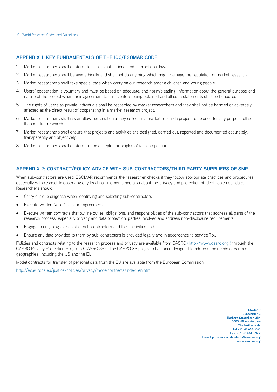#### **APPENDIX 1: KEY FUNDAMENTALS OF THE ICC/ESOMAR CODE**

- 1. Market researchers shall conform to all relevant national and international laws.
- 2. Market researchers shall behave ethically and shall not do anything which might damage the reputation of market research.
- 3. Market researchers shall take special care when carrying out research among children and young people.
- 4. Users' cooperation is voluntary and must be based on adequate, and not misleading, information about the general purpose and nature of the project when their agreement to participate is being obtained and all such statements shall be honoured.
- 5. The rights of users as private individuals shall be respected by market researchers and they shall not be harmed or adversely affected as the direct result of cooperating in a market research project.
- 6. Market researchers shall never allow personal data they collect in a market research project to be used for any purpose other than market research.
- 7. Market researchers shall ensure that projects and activities are designed, carried out, reported and documented accurately, transparently and objectively.
- 8. Market researchers shall conform to the accepted principles of fair competition.

#### **APPENDIX 2: CONTRACT/POLICY ADVICE WITH SUB-CONTRACTORS/THIRD PARTY SUPPLIERS OF SMR**

When sub-contractors are used. ESOMAR recommends the researcher checks if they follow appropriate practices and procedures, especially with respect to observing any legal requirements and also about the privacy and protection of identifiable user data. Researchers should:

- Carry out due diligence when identifying and selecting sub-contractors
- Execute written Non-Disclosure agreements
- Execute written contracts that outline duties, obligations, and responsibilities of the sub-contractors that address all parts of the research process, especially privacy and data protection; parties involved and address non-disclosure requirements
- Engage in on-going oversight of sub-contractors and their activities and
- Ensure any data provided to them by sub-contractors is provided legally and in accordance to service ToU.

Policies and contracts relating to the research process and privacy are available from CASRO (http://www.casro.org ) through the CASRO Privacy Protection Program (CASRO 3P). The CASRO 3P program has been designed to address the needs of various geographies, including the US and the EU.

Model contracts for transfer of personal data from the EU are available from the European Commission

http://ec.europa.eu/justice/policies/privacy/modelcontracts/index\_en.htm

**ESOMAR Eurocenter 2 Barbara Strozzilaan 384 1083 HN Amsterdam The Netherlands Tel +31 20 664 2141 Fax: +31 20 664 2922 E-mail professional.standards@esomar.org www.esomar.org**